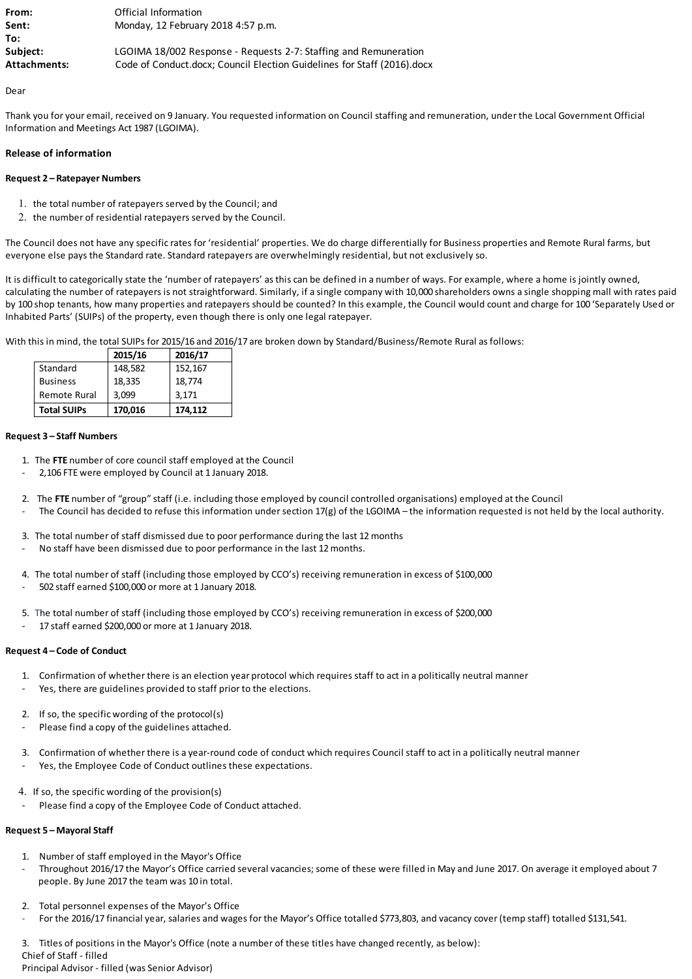| From:        | Official Information                                                    |
|--------------|-------------------------------------------------------------------------|
| Sent:        | Monday, 12 February 2018 4:57 p.m.                                      |
| To:          |                                                                         |
| Subject:     | LGOIMA 18/002 Response - Requests 2-7: Staffing and Remuneration        |
| Attachments: | Code of Conduct.docx; Council Election Guidelines for Staff (2016).docx |

Dear

Thank you for your email, received on 9 January. You requested information on Council staffing and remuneration, under the Local Government Official Information and Meetings Act 1987 (LGOIMA).

# **Release of information**

# **Request 2 – Ratepayer Numbers**

- 1. the total number of ratepayers served by the Council; and
- 2. the number of residential ratepayers served by the Council.

The Council does not have any specific rates for 'residential' properties. We do charge differentially for Business properties and Remote Rural farms, but everyone else pays the Standard rate. Standard ratepayers are overwhelmingly residential, but not exclusively so.

It is difficult to categorically state the 'number of ratepayers' as this can be defined in a number of ways. For example, where a home is jointly owned, calculating the number of ratepayers is not straightforward. Similarly, if a single company with 10,000 shareholders owns a single shopping mall with rates paid by 100 shop tenants, how many properties and ratepayers should be counted? In this example, the Council would count and charge for 100 'Separately Used or Inhabited Parts' (SUIPs) of the property, even though there is only one legal ratepayer.

With this in mind, the total SUIPs for 2015/16 and 2016/17 are broken down by Standard/Business/Remote Rural as follows:

|                    | 2015/16 | 2016/17 |
|--------------------|---------|---------|
| Standard           | 148,582 | 152,167 |
| <b>Business</b>    | 18,335  | 18,774  |
| Remote Rural       | 3.099   | 3,171   |
| <b>Total SUIPs</b> | 170,016 | 174,112 |

# **Request 3 – Staff Numbers**

- 1. The **FTE** number of core council staff employed at the Council
- 2,106 FTE were employed by Council at 1 January 2018.
- 2. The **FTE** number of "group" staff (i.e. including those employed by council controlled organisations) employed at the Council
- The Council has decided to refuse this information under section 17(g) of the LGOIMA the information requested is not held by the local authority.
- 3. The total number of staff dismissed due to poor performance during the last 12 months
- No staff have been dismissed due to poor performance in the last 12 months.
- 4. The total number of staff (including those employed by CCO's) receiving remuneration in excess of \$100,000 - 502 staff earned \$100,000 or more at 1 January 2018.
- 5. The total number of staff (including those employed by CCO's) receiving remuneration in excess of \$200,000
- 17 staff earned \$200,000 or more at 1 January 2018.

## **Request 4 – Code of Conduct**

- 1. Confirmation of whether there is an election year protocol which requires staff to act in a politically neutral manner Yes, there are guidelines provided to staff prior to the elections.
- 2. If so, the specific wording of the protocol(s)
- Please find a copy of the guidelines attached.
- 3. Confirmation of whether there is a year-round code of conduct which requires Council staff to act in a politically neutral manner
- Yes, the Employee Code of Conduct outlines these expectations.
- 4. If so, the specific wording of the provision(s)
- Please find a copy of the Employee Code of Conduct attached.

## **Request 5 – Mayoral Staff**

- 1. Number of staff employed in the Mayor's Office
- Throughout 2016/17 the Mayor's Office carried several vacancies; some of these were filled in May and June 2017. On average it employed about 7 people. By June 2017 the team was 10 in total.
- 2. Total personnel expenses of the Mayor's Office
- For the 2016/17 financial year, salaries and wages for the Mayor's Office totalled \$773,803, and vacancy cover (temp staff) totalled \$131,541.

3. Titles of positions in the Mayor's Office (note a number of these titles have changed recently, as below):

Chief of Staff - filled

Principal Advisor - filled (was Senior Advisor)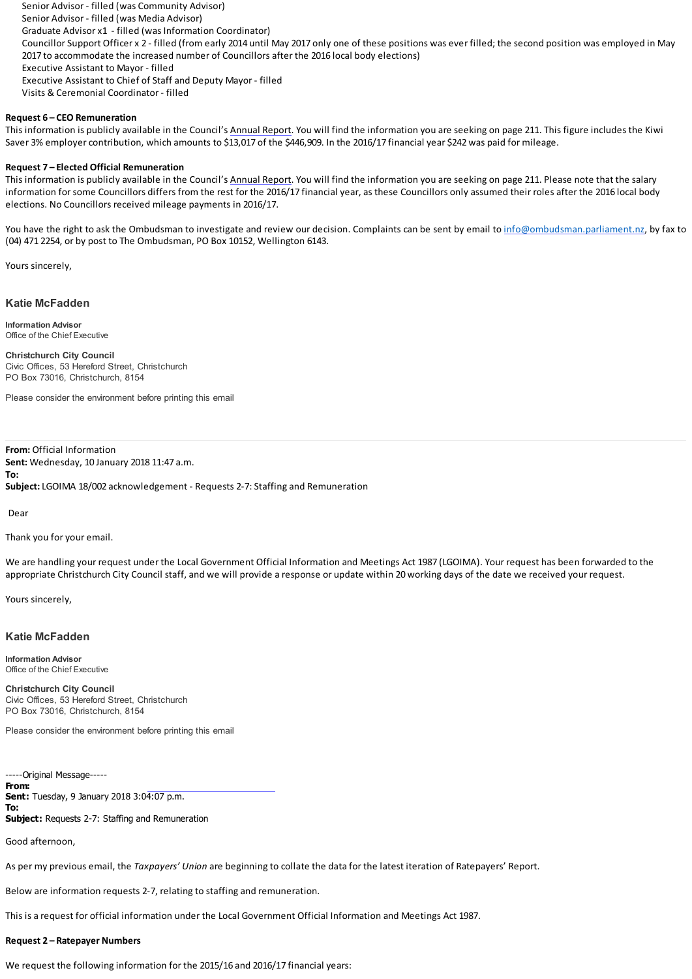Senior Advisor - filled (was Community Advisor) Senior Advisor - filled (was Media Advisor) Graduate Advisor x1 - filled (was Information Coordinator) Councillor Support Officer x 2 - filled (from early 2014 until May 2017 only one of these positions was ever filled; the second position was employed in May 2017 to accommodate the increased number of Councillors after the 2016 local body elections) Executive Assistant to Mayor - filled Executive Assistant to Chief of Staff and Deputy Mayor - filled Visits & Ceremonial Coordinator - filled

## **Request 6 – CEO Remuneration**

This information is publicly available in the Council's [Annual Report.](https://ccc.govt.nz/assets/Documents/The-Council/Plans-Strategies-Policies-Bylaws/Plans/Annual-reports/2017-Master-Annual-Report.pdf) You will find the information you are seeking on page 211. This figure includes the Kiwi Saver 3% employer contribution, which amounts to \$13,017 of the \$446,909. In the 2016/17 financial year \$242 was paid for mileage.

#### **Request 7 – Elected Official Remuneration**

This information is publicly available in the Council's [Annual Report.](https://ccc.govt.nz/assets/Documents/The-Council/Plans-Strategies-Policies-Bylaws/Plans/Annual-reports/2017-Master-Annual-Report.pdf) You will find the information you are seeking on page 211. Please note that the salary information for some Councillors differs from the rest for the 2016/17 financial year, as these Councillors only assumed their roles after the 2016 local body elections. No Councillors received mileage payments in 2016/17.

You have the right to ask the Ombudsman to investigate and review our decision. Complaints can be sent by email to [info@ombudsman.parliament.nz,](mailto:info@ombudsman.parliament.nz) by fax to (04) 471 2254, or by post to The Ombudsman, PO Box 10152, Wellington 6143.

Yours sincerely,

### **Katie McFadden**

**Information Advisor** Office of the Chief Executive

**Christchurch City Council** Civic Offices, 53 Hereford Street, Christchurch PO Box 73016, Christchurch, 8154

Please consider the environment before printing this email

**From:** Official Information **Sent:** Wednesday, 10 January 2018 11:47 a.m. **To: Subject:** LGOIMA 18/002 acknowledgement - Requests 2-7: Staffing and Remuneration

Dear

Thank you for your email.

We are handling your request under the Local Government Official Information and Meetings Act 1987 (LGOIMA). Your request has been forwarded to the appropriate Christchurch City Council staff, and we will provide a response or update within 20 working days of the date we received your request.

Yours sincerely,

#### **Katie McFadden**

**Information Advisor** Office of the Chief Executive

**Christchurch City Council** Civic Offices, 53 Hereford Street, Christchurch PO Box 73016, Christchurch, 8154

Please consider the environment before printing this email

-----Original Message----- **From: Sent:** Tuesday, 9 January 2018 3:04:07 p.m. **To: Subject:** Requests 2-7: Staffing and Remuneration

Good afternoon,

As per my previous email, the *Taxpayers' Union* are beginning to collate the data for the latest iteration of Ratepayers' Report.

Below are information requests 2-7, relating to staffing and remuneration.

This is a request for official information under the Local Government Official Information and Meetings Act 1987.

## **Request 2 – Ratepayer Numbers**

We request the following information for the 2015/16 and 2016/17 financial years: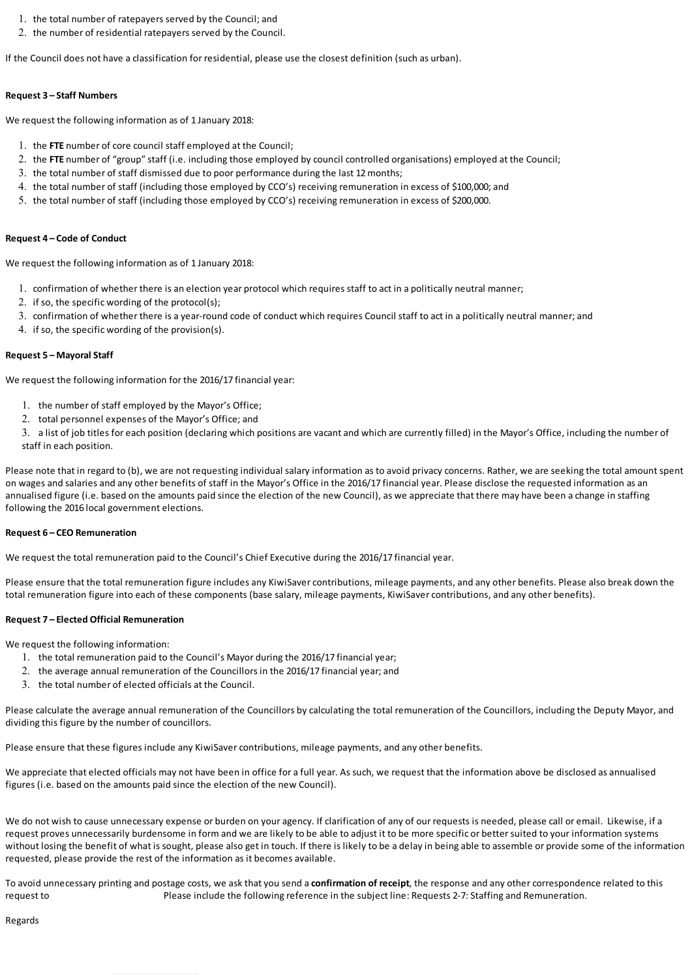- 1. the total number of ratepayers served by the Council; and
- 2. the number of residential ratepayers served by the Council.

If the Council does not have a classification for residential, please use the closest definition (such as urban).

#### **Request 3 – Staff Numbers**

We request the following information as of 1 January 2018:

- 1. the **FTE** number of core council staff employed at the Council;
- 2. the **FTE** number of "group" staff (i.e. including those employed by council controlled organisations) employed at the Council;
- 3. the total number of staff dismissed due to poor performance during the last 12 months;
- 4. the total number of staff (including those employed by CCO's) receiving remuneration in excess of \$100,000; and
- 5. the total number of staff (including those employed by CCO's) receiving remuneration in excess of \$200,000.

### **Request 4 – Code of Conduct**

We request the following information as of 1 January 2018:

- 1. confirmation of whether there is an election year protocol which requires staff to act in a politically neutral manner;
- 2. if so, the specific wording of the protocol(s);
- 3. confirmation of whether there is a year-round code of conduct which requires Council staff to act in a politically neutral manner; and
- 4. if so, the specific wording of the provision(s).

## **Request 5 – Mayoral Staff**

We request the following information for the 2016/17 financial year:

- 1. the number of staff employed by the Mayor's Office;
- 2. total personnel expenses of the Mayor's Office; and

3. a list of job titles for each position (declaring which positions are vacant and which are currently filled) in the Mayor's Office, including the number of staff in each position.

Please note that in regard to (b), we are not requesting individual salary information as to avoid privacy concerns. Rather, we are seeking the total amount spent on wages and salaries and any other benefits of staff in the Mayor's Office in the 2016/17 financial year. Please disclose the requested information as an annualised figure (i.e. based on the amounts paid since the election of the new Council), as we appreciate that there may have been a change in staffing following the 2016 local government elections.

#### **Request 6 – CEO Remuneration**

We request the total remuneration paid to the Council's Chief Executive during the 2016/17 financial year.

Please ensure that the total remuneration figure includes any KiwiSaver contributions, mileage payments, and any other benefits. Please also break down the total remuneration figure into each of these components (base salary, mileage payments, KiwiSaver contributions, and any other benefits).

#### **Request 7 – Elected Official Remuneration**

We request the following information:

- 1. the total remuneration paid to the Council's Mayor during the 2016/17 financial year;
- 2. the average annual remuneration of the Councillors in the 2016/17 financial year; and
- 3. the total number of elected officials at the Council.

Please calculate the average annual remuneration of the Councillors by calculating the total remuneration of the Councillors, including the Deputy Mayor, and dividing this figure by the number of councillors.

Please ensure that these figures include any KiwiSaver contributions, mileage payments, and any other benefits.

We appreciate that elected officials may not have been in office for a full year. As such, we request that the information above be disclosed as annualised figures (i.e. based on the amounts paid since the election of the new Council).

We do not wish to cause unnecessary expense or burden on your agency. If clarification of any of our requests is needed, please call or email. Likewise, if a request proves unnecessarily burdensome in form and we are likely to be able to adjust it to be more specific or better suited to your information systems without losing the benefit of what is sought, please also get in touch. If there is likely to be a delay in being able to assemble or provide some of the information requested, please provide the rest of the information as it becomes available.

To avoid unnecessary printing and postage costs, we ask that you send a **confirmation of receipt**, the response and any other correspondence related to this request to Please include the following reference in the subject line: Requests 2-7: Staffing and Remuneration.

Regards